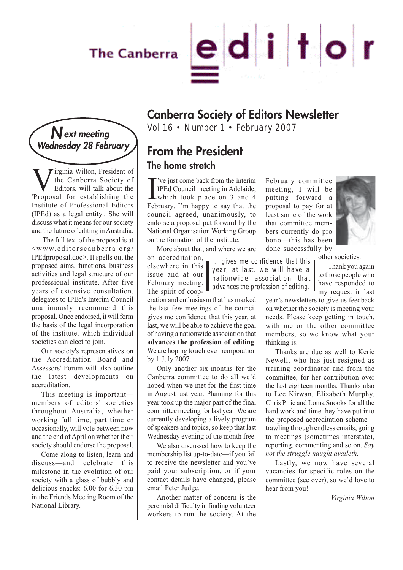# The Canberra



# Wext meeting<br>
Wednesday 28 February<br> **N Example:** Respectdant

**V**irginia Wilton, President of<br>the Canberra Society of<br>Editors, will talk about the<br>Proposal for establishing the the Canberra Society of Editors, will talk about the 'Proposal for establishing the Institute of Professional Editors (IPEd) as a legal entity'. She will discuss what it means for our society and the future of editing in Australia.

The full text of the proposal is at <www.editorscanberra.org/ IPEdproposal.doc>. It spells out the proposed aims, functions, business activities and legal structure of our professional institute. After five years of extensive consultation, delegates to IPEd's Interim Council unanimously recommend this proposal. Once endorsed, it will form the basis of the legal incorporation of the institute, which individual societies can elect to join.

Our society's representatives on the Accreditation Board and Assessors' Forum will also outline the latest developments on accreditation.

This meeting is important members of editors' societies throughout Australia, whether working full time, part time or occasionally, will vote between now and the end of April on whether their society should endorse the proposal.

Come along to listen, learn and discuss—and celebrate this milestone in the evolution of our society with a glass of bubbly and delicious snacks: 6.00 for 6.30 pm in the Friends Meeting Room of the National Library.

**Canberra Society of Editors Newsletter**

### **From the President The home stretch**

I've just come back from the interim<br>IPEd Council meeting in Adelaide,<br>which took place on 3 and 4<br>February. I'm happy to say that the 've just come back from the interim IPEd Council meeting in Adelaide, which took place on 3 and 4 council agreed, unanimously, to endorse a proposal put forward by the National Organisation Working Group on the formation of the institute.

More about that, and where we are

on accreditation, elsewhere in this issue and at our February meeting. The spirit of coop-

... gives me confidence that this year, at last, we will have a nationwide association that  $\parallel$  advances the profession of editing.  $\parallel$ 

eration and enthusiasm that has marked the last few meetings of the council gives me confidence that this year, at last, we will be able to achieve the goal of having a nationwide association that **advances the profession of editing**. We are hoping to achieve incorporation by 1 July 2007.

Only another six months for the Canberra committee to do all we'd hoped when we met for the first time in August last year. Planning for this year took up the major part of the final committee meeting for last year. We are currently developing a lively program of speakers and topics, so keep that last Wednesday evening of the month free.

We also discussed how to keep the membership list up-to-date—if you fail to receive the newsletter and you've paid your subscription, or if your contact details have changed, please email Peter Judge.

Another matter of concern is the perennial difficulty in finding volunteer workers to run the society. At the February committee meeting, I will be putting forward a proposal to pay for at least some of the work that committee members currently do pro bono—this has been done successfully by



other societies.

Thank you again to those people who have responded to my request in last

year's newsletters to give us feedback on whether the society is meeting your needs. Please keep getting in touch, with me or the other committee members, so we know what your thinking is.

Thanks are due as well to Kerie Newell, who has just resigned as training coordinator and from the committee, for her contribution over the last eighteen months. Thanks also to Lee Kirwan, Elizabeth Murphy, Chris Pirie and Loma Snooks for all the hard work and time they have put into the proposed accreditation scheme trawling through endless emails, going to meetings (sometimes interstate), reporting, commenting and so on. *Say not the struggle naught availeth.*

Lastly, we now have several vacancies for specific roles on the committee (see over), so we'd love to hear from you!

*Virginia Wilton*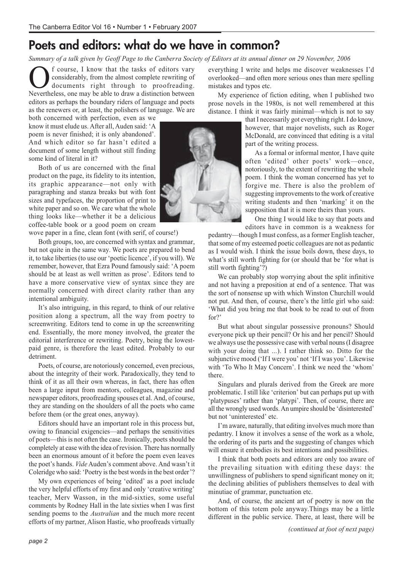# **Poets and editors: what do we have in common?**

*Summary of a talk given by Geoff Page to the Canberra Society of Editors at its annual dinner on 29 November, 2006*

Course, I know that the tasks of editors vary<br>considerably, from the almost complete rewriting of<br>documents right through to proofreading.<br>Nevertheless one may be able to draw a distinction between considerably, from the almost complete rewriting of documents right through to proofreading. Nevertheless, one may be able to draw a distinction between editors as perhaps the boundary riders of language and poets as the renewers or, at least, the polishers of language. We are

both concerned with perfection, even as we know it must elude us. After all, Auden said: 'A poem is never finished; it is only abandoned'. And which editor so far hasn't edited a document of some length without still finding some kind of literal in it?

Both of us are concerned with the final product on the page, its fidelity to its intention, its graphic appearance—not only with paragraphing and stanza breaks but with font sizes and typefaces, the proportion of print to white paper and so on. We care what the whole thing looks like—whether it be a delicious coffee-table book or a good poem on cream

wove paper in a fine, clean font (with serif, of course!)

Both groups, too, are concerned with syntax and grammar, but not quite in the same way. We poets are prepared to bend it, to take liberties (to use our 'poetic licence', if you will). We remember, however, that Ezra Pound famously said: 'A poem should be at least as well written as prose'. Editors tend to have a more conservative view of syntax since they are normally concerned with direct clarity rather than any intentional ambiguity.

It's also intriguing, in this regard, to think of our relative position along a spectrum, all the way from poetry to screenwriting. Editors tend to come in up the screenwriting end. Essentially, the more money involved, the greater the editorial interference or rewriting. Poetry, being the lowestpaid genre, is therefore the least edited. Probably to our detriment.

Poets, of course, are notoriously concerned, even precious, about the integrity of their work. Paradoxically, they tend to think of it as all their own whereas, in fact, there has often been a large input from mentors, colleagues, magazine and newspaper editors, proofreading spouses et al. And, of course, they are standing on the shoulders of all the poets who came before them (or the great ones, anyway).

Editors should have an important role in this process but, owing to financial exigencies—and perhaps the sensitivities of poets—this is not often the case. Ironically, poets should be completely at ease with the idea of revision. There has normally been an enormous amount of it before the poem even leaves the poet's hands. *Vide* Auden's comment above. And wasn't it Coleridge who said: 'Poetry is the best words in the best order'?

My own experiences of being 'edited' as a poet include the very helpful efforts of my first and only 'creative writing' teacher, Merv Wasson, in the mid-sixties, some useful comments by Rodney Hall in the late sixties when I was first sending poems to the *Australian* and the much more recent efforts of my partner, Alison Hastie, who proofreads virtually everything I write and helps me discover weaknesses I'd overlooked—and often more serious ones than mere spelling mistakes and typos etc.

My experience of fiction editing, when I published two prose novels in the 1980s, is not well remembered at this distance. I think it was fairly minimal—which is not to say

that I necessarily got everything right. I do know, however, that major novelists, such as Roger McDonald, are convinced that editing is a vital part of the writing process.

As a formal or informal mentor, I have quite often 'edited' other poets' work—once, notoriously, to the extent of rewriting the whole poem. I think the woman concerned has yet to forgive me. There is also the problem of suggesting improvements to the work of creative writing students and then 'marking' it on the supposition that it is more theirs than yours.

One thing I would like to say that poets and editors have in common is a weakness for

pedantry—though I must confess, as a former English teacher, that some of my esteemed poetic colleagues are not as pedantic as I would wish. I think the issue boils down, these days, to what's still worth fighting for (or should that be 'for what is still worth fighting'?)

We can probably stop worrying about the split infinitive and not having a preposition at end of a sentence. That was the sort of nonsense up with which Winston Churchill would not put. And then, of course, there's the little girl who said: 'What did you bring me that book to be read to out of from for?'

But what about singular possessive pronouns? Should everyone pick up their pencil? Or his and her pencil? Should we always use the possessive case with verbal nouns (I disagree with your doing that ...). I rather think so. Ditto for the subjunctive mood ('If I were you' not 'If I was you'. Likewise with 'To Who It May Concern'. I think we need the 'whom' there.

Singulars and plurals derived from the Greek are more problematic. I still like 'criterion' but can perhaps put up with 'platypuses' rather than 'platypi'. Then, of course, there are all the wrongly used words. An umpire should be 'disinterested' but not 'uninterested' etc.

I'm aware, naturally, that editing involves much more than pedantry. I know it involves a sense of the work as a whole, the ordering of its parts and the suggesting of changes which will ensure it embodies its best intentions and possibilities.

I think that both poets and editors are only too aware of the prevailing situation with editing these days: the unwillingness of publishers to spend significant money on it; the declining abilities of publishers themselves to deal with minutiae of grammar, punctuation etc.

And, of course, the ancient art of poetry is now on the bottom of this totem pole anyway.Things may be a little different in the public service. There, at least, there will be

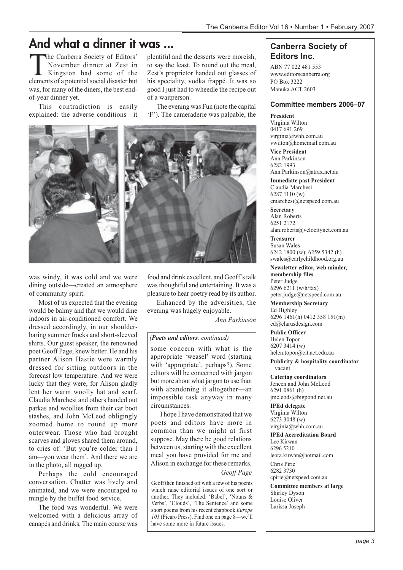# **And what a dinner it was ...**

The Canberra Society of Editors'<br>November dinner at Zest in<br>Kingston had some of the<br>elements of a notential social disaster but November dinner at Zest in Kingston had some of the elements of a potential social disaster but was, for many of the diners, the best endof-year dinner yet.

This contradiction is easily explained: the adverse conditions—it

plentiful and the desserts were moreish, to say the least. To round out the meal, Zest's proprietor handed out glasses of his speciality, vodka frappé. It was so good I just had to wheedle the recipe out of a waitperson.

The evening was Fun (note the capital 'F'). The cameraderie was palpable, the



was windy, it was cold and we were dining outside—created an atmosphere of community spirit.

Most of us expected that the evening would be balmy and that we would dine indoors in air-conditioned comfort. We dressed accordingly, in our shoulderbaring summer frocks and short-sleeved shirts. Our guest speaker, the renowned poet Geoff Page, knew better. He and his partner Alison Hastie were warmly dressed for sitting outdoors in the forecast low temperature. And we were lucky that they were, for Alison gladly lent her warm woolly hat and scarf. Claudia Marchesi and others handed out parkas and woollies from their car boot stashes, and John McLeod obligingly zoomed home to round up more outerwear. Those who had brought scarves and gloves shared them around, to cries of: 'But you're colder than I am—you wear them'. And there we are in the photo, all rugged up.

Perhaps the cold encouraged conversation. Chatter was lively and animated, and we were encouraged to mingle by the buffet food service.

The food was wonderful. We were welcomed with a delicious array of canapés and drinks. The main course was

food and drink excellent, and Geoff's talk was thoughtful and entertaining. It was a pleasure to hear poetry read by its author.

Enhanced by the adversities, the evening was hugely enjoyable.

*Ann Parkinson*

#### *(Poets and editors, continued)*

some concern with what is the appropriate 'weasel' word (starting with 'appropriate', perhaps?). Some editors will be concerned with jargon but more about what jargon to use than with abandoning it altogether—an impossible task anyway in many circumstances.

I hope I have demonstrated that we poets and editors have more in common than we might at first suppose. May there be good relations between us, starting with the excellent meal you have provided for me and Alison in exchange for these remarks.

*Geoff Page*

Geoff then finished off with a few of his poems which raise editorial issues of one sort or another. They included: 'Babel', 'Nouns & Verbs', 'Clouds', 'The Sentence' and some short poems from his recent chapbook *Europe 101* (Picaro Press). Find one on page 8—we'll have some more in future issues.

### **Canberra Society of Editors Inc.**

ABN 77 022 481 553 www.editorscanberra.org PO Box 3222 Manuka ACT 2603

#### **Committee members 2006–07**

#### **President**

Virginia Wilton 0417 691 269 virginia@whh.com.au vwilton@homemail.com.au

**Vice President** Ann Parkinson 6282 1993 Ann.Parkinson@atrax.net.au

**Immediate past President** Claudia Marchesi 6287 1110 (w) cmarchesi@netspeed.com.au

**Secretary** Alan Roberts 6251 2172 alan.roberts@velocitynet.com.au

**Treasurer** Susan Wales 6242 1800 (w); 6259 5342 (h) swales@earlychildhood.org.au

**Newsletter editor, web minder, membership files** Peter Judge 6296 6211 (w/h/fax) peter.judge@netspeed.com.au

**Membership Secretary** Ed Highley 6296 1461(h) 0412 358 151(m) ed@clarusdesign.com

**Public Officer** Helen Topor 6207 3414 (w) helen.topor@cit.act.edu.au

**Publicity & hospitality coordinator** vacant

**Catering coordinators** Jeneen and John McLeod 6291 0861 (h) jmcleods@bigpond.net.au

**IPEd delegate** Virginia Wilton 6273 3048 (w) virginia@whh.com.au

**IPEd Accreditation Board** Lee Kirwan 6296 5210 leora.kirwan@hotmail.com

Chris Pirie 6282 3730 cpirie@netspeed.com.au

**Committee members at large** Shirley Dyson Louise Oliver Larissa Joseph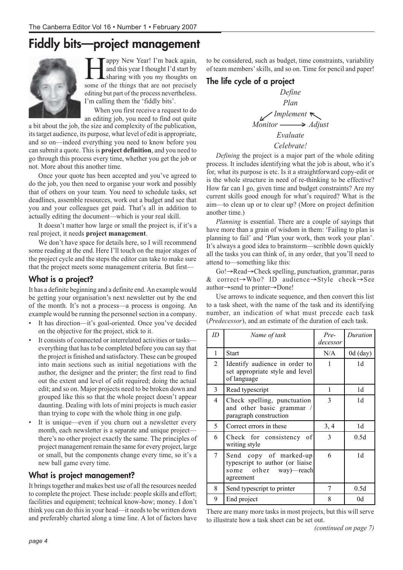# **Fiddly bits—project management**



appy New Year! I'm back again, and this year I thought I'd start by sharing with you my thoughts on some of the things that are not precisely editing but part of the process nevertheless. I'm calling them the 'fiddly bits'.

When you first receive a request to do an editing job, you need to find out quite

a bit about the job, the size and complexity of the publication, its target audience, its purpose, what level of edit is appropriate, and so on—indeed everything you need to know before you can submit a quote. This is **project definition**, and you need to go through this process every time, whether you get the job or not. More about this another time.

Once your quote has been accepted and you've agreed to do the job, you then need to organise your work and possibly that of others on your team. You need to schedule tasks, set deadlines, assemble resources, work out a budget and see that you and your colleagues get paid. That's all in addition to actually editing the document—which is your real skill.

It doesn't matter how large or small the project is, if it's a real project, it needs **project management**.

We don't have space for details here, so I will recommend some reading at the end. Here I'll touch on the major stages of the project cycle and the steps the editor can take to make sure that the project meets some management criteria. But first—

### **What is a project?**

It has a definite beginning and a definite end. An example would be getting your organisation's next newsletter out by the end of the month. It's not a process—a process is ongoing. An example would be running the personnel section in a company.

- It has direction—it's goal-oriented. Once you've decided on the objective for the project, stick to it.
- It consists of connected or interrelated activities or tasks everything that has to be completed before you can say that the project is finished and satisfactory. These can be grouped into main sections such as initial negotiations with the author, the designer and the printer; the first read to find out the extent and level of edit required; doing the actual edit; and so on. Major projects need to be broken down and grouped like this so that the whole project doesn't appear daunting. Dealing with lots of mini projects is much easier than trying to cope with the whole thing in one gulp.
- It is unique—even if you churn out a newsletter every month, each newsletter is a separate and unique project there's no other project exactly the same. The principles of project management remain the same for every project, large or small, but the components change every time, so it's a new ball game every time.

### **What is project management?**

It brings together and makes best use of all the resources needed to complete the project. These include: people skills and effort; facilities and equipment; technical know-how; money. I don't think you can do this in your head—it needs to be written down and preferably charted along a time line. A lot of factors have

to be considered, such as budget, time constraints, variability of team members' skills, and so on. Time for pencil and paper!

### **The life cycle of a project**



*Defining* the project is a major part of the whole editing process. It includes identifying what the job is about, who it's for, what its purpose is etc. Is it a straightforward copy-edit or is the whole structure in need of re-thinking to be effective? How far can I go, given time and budget constraints? Are my current skills good enough for what's required? What is the aim—to clean up or to clear up? (More on project definition another time.)

*Planning* is essential. There are a couple of sayings that have more than a grain of wisdom in them: 'Failing to plan is planning to fail' and 'Plan your work, then work your plan'. It's always a good idea to brainstorm—scribble down quickly all the tasks you can think of, in any order, that you'll need to attend to—something like this:

Go!→Read→Check spelling, punctuation, grammar, paras & correct→Who? ID audience→Style check→See author→send to printer→Done!

Use arrows to indicate sequence, and then convert this list to a task sheet, with the name of the task and its identifying number, an indication of what must precede each task (*Predecessor*), and an estimate of the duration of each task.

| ID             | Name of task                                                                                    | Pre-<br>decessor | Duration       |
|----------------|-------------------------------------------------------------------------------------------------|------------------|----------------|
| 1              | Start                                                                                           | N/A              | $0d$ (day)     |
| $\overline{2}$ | Identify audience in order to<br>set appropriate style and level<br>of language                 | 1                | 1 <sub>d</sub> |
| 3              | Read typescript                                                                                 | 1                | 1 <sub>d</sub> |
| 4              | Check spelling, punctuation<br>and other basic grammar /<br>paragraph construction              | 3                | 1d             |
| 5              | Correct errors in these                                                                         | 3, 4             | 1 <sub>d</sub> |
| 6              | Check for consistency of<br>writing style                                                       | 3                | 0.5d           |
| 7              | Send copy of marked-up<br>typescript to author (or liaise<br>some other way)—reach<br>agreement | 6                | 1d             |
| 8              | Send typescript to printer                                                                      | 7                | 0.5d           |
| 9              | End project                                                                                     | 8                | 0d             |

There are many more tasks in most projects, but this will serve to illustrate how a task sheet can be set out.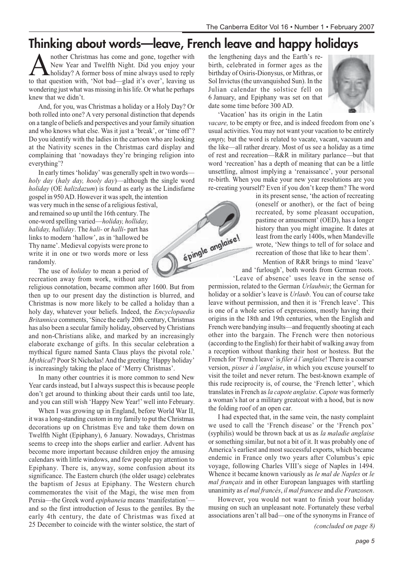# **Thinking about words—leave, French leave and happy holidays**

épingle anglaise!

**A** nother Christmas has come and gone, together with<br>New Year and Twelfth Night. Did you enjoy your<br>holiday? A former boss of mine always used to reply<br>to that question with 'Not bad—olad it's over' leaving us New Year and Twelfth Night. Did you enjoy your holiday? A former boss of mine always used to reply to that question with, 'Not bad—glad it's over', leaving us wondering just what was missing in his life. Or what he perhaps knew that we didn't.

And, for you, was Christmas a holiday or a Holy Day? Or both rolled into one? A very personal distinction that depends on a tangle of beliefs and perspectives and your family situation and who knows what else. Was it just a 'break', or 'time off'? Do you identify with the ladies in the cartoon who are looking at the Nativity scenes in the Christmas card display and complaining that 'nowadays they're bringing religion into everything'?

In early times 'holiday' was generally spelt in two words *holy day* (*haly day, hooly day*)—although the single word *holiday* (OE *halizdazum*) is found as early as the Lindisfarne

gospel in 950 AD. However it was spelt, the intention was very much in the sense of a religious festival, and remained so up until the 16th century. The one-word spelling varied—*holiday, holliday, haliday, halliday*. The *hali-* or *halli*- part has links to modern 'hallow', as in 'hallowed be Thy name'. Medieval copyists were prone to write it in one or two words more or less randomly.

The use of *holiday* to mean a period of recreation away from work, without any

religious connotation, became common after 1600. But from then up to our present day the distinction is blurred, and Christmas is now more likely to be called a holiday than a holy day, whatever your beliefs. Indeed, the *Encyclopaedia Britannica* comments, 'Since the early 20th century, Christmas has also been a secular family holiday, observed by Christians and non-Christians alike, and marked by an increasingly elaborate exchange of gifts. In this secular celebration a mythical figure named Santa Claus plays the pivotal role.' *Mythical*? Poor St Nicholas! And the greeting 'Happy holiday' is increasingly taking the place of 'Merry Christmas'.

In many other countries it is more common to send New Year cards instead, but I always suspect this is because people don't get around to thinking about their cards until too late, and you can still wish 'Happy New Year!' well into February.

When I was growing up in England, before World War II, it was a long-standing custom in my family to put the Christmas decorations up on Christmas Eve and take them down on Twelfth Night (Epiphany), 6 January. Nowadays, Christmas seems to creep into the shops earlier and earlier. Advent has become more important because children enjoy the amusing calendars with little windows, and few people pay attention to Epiphany. There is, anyway, some confusion about its significance. The Eastern church (the older usage) celebrates the baptism of Jesus at Epiphany. The Western church commemorates the visit of the Magi, the wise men from Persia—the Greek word *epiphaneia* means 'manifestation' and so the first introduction of Jesus to the gentiles. By the early 4th century, the date of Christmas was fixed at 25 December to coincide with the winter solstice, the start of the lengthening days and the Earth's rebirth, celebrated in former ages as the birthday of Osiris-Dionysus, or Mithras, or Sol Invictus (the unvanquished Sun). In the Julian calendar the solstice fell on 6 January, and Epiphany was set on that date some time before 300 AD.



'Vacation' has its origin in the Latin

*vacare,* to be empty or free, and is indeed freedom from one's usual activities. You may not want your vacation to be entirely empty, but the word is related to vacate, vacant, vacuum and the like—all rather dreary. Most of us see a holiday as a time of rest and recreation—R&R in military parlance—but that word 'recreation' has a depth of meaning that can be a little unsettling, almost implying a 'renaissance', your personal re-birth. When you make your new year resolutions are you re-creating yourself? Even if you don't keep them? The word

in its present sense, 'the action of recreating (oneself or another), or the fact of being recreated, by some pleasant occupation, pastime or amusement' (OED), has a longer history than you might imagine. It dates at least from the early 1400s, when Mandeville wrote, 'New things to tell of for solace and recreation of those that like to hear them'.

Mention of R&R brings to mind 'leave' and 'furlough', both words from German roots.

'Leave of absence' uses leave in the sense of permission, related to the German *Urlaubnis*; the German for holiday or a soldier's leave is *Urlaub*. You can of course take leave without permission, and then it is 'French leave'. This is one of a whole series of expressions, mostly having their origins in the 18th and 19th centuries, when the English and French were bandying insults—and frequently shooting at each other into the bargain. The French were then notorious (according to the English) for their habit of walking away from a reception without thanking their host or hostess. But the French for 'French leave' is *filer à l'anglaise*! There is a coarser version, *pisser à l'anglaise*, in which you excuse yourself to visit the toilet and never return. The best-known example of this rude reciprocity is, of course, the 'French letter', which translates in French as *la capote anglaise*. *Capote* was formerly a woman's hat or a military greatcoat with a hood, but is now the folding roof of an open car*.*

I had expected that, in the same vein, the nasty complaint we used to call the 'French disease' or the 'French pox' (syphilis) would be thrown back at us as *la maladie anglaise* or something similar, but not a bit of it. It was probably one of America's earliest and most successful exports, which became endemic in France only two years after Columbus's epic voyage, following Charles VIII's siege of Naples in 1494. Whence it became known variously as *le mal de Naples* or *le mal français* and in other European languages with startling unanimity as *el mal francés*, *il mal francese* and *die Franzosen*.

However, you would not want to finish your holiday musing on such an unpleasant note. Fortunately these verbal associations aren't all bad—one of the synonyms in France of

*(concluded on page 8)*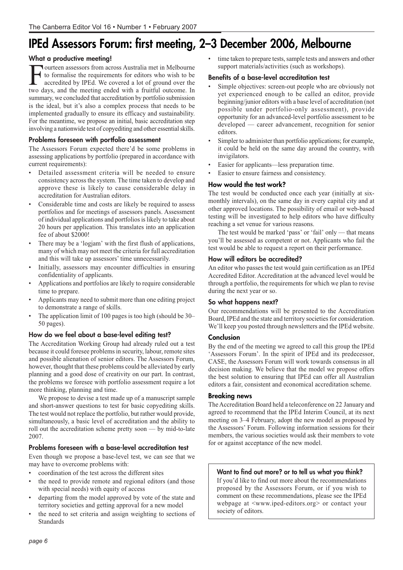# **IPEd Assessors Forum: first meeting, 2–3 December 2006, Melbourne**

#### **What a productive meeting!**

Fourteen assessors from across Australia met in Melbourne<br>to formalise the requirements for editors who wish to be<br>accredited by IPEd. We covered a lot of ground over the<br>two days and the meeting ended with a fruitful outc to formalise the requirements for editors who wish to be two days, and the meeting ended with a fruitful outcome. In summary, we concluded that accreditation by portfolio submission is the ideal, but it's also a complex process that needs to be implemented gradually to ensure its efficacy and sustainability. For the meantime, we propose an initial, basic accreditation step involving a nationwide test of copyediting and other essential skills.

#### **Problems foreseen with portfolio assessment**

The Assessors Forum expected there'd be some problems in assessing applications by portfolio (prepared in accordance with current requirements):

- Detailed assessment criteria will be needed to ensure consistency across the system. The time taken to develop and approve these is likely to cause considerable delay in accreditation for Australian editors.
- Considerable time and costs are likely be required to assess portfolios and for meetings of assessors panels. Assessment of individual applications and portfolios is likely to take about 20 hours per application. This translates into an application fee of about \$2000!
- There may be a 'logjam' with the first flush of applications, many of which may not meet the criteria for full accreditation and this will take up assessors' time unnecessarily.
- Initially, assessors may encounter difficulties in ensuring confidentiality of applicants.
- Applications and portfolios are likely to require considerable time to prepare.
- Applicants may need to submit more than one editing project to demonstrate a range of skills.
- The application limit of 100 pages is too high (should be 30– 50 pages).

#### **How do we feel about a base-level editing test?**

The Accreditation Working Group had already ruled out a test because it could foresee problems in security, labour, remote sites and possible alienation of senior editors. The Assessors Forum, however, thought that these problems could be alleviated by early planning and a good dose of creativity on our part. In contrast, the problems we foresee with portfolio assessment require a lot more thinking, planning and time.

We propose to devise a test made up of a manuscript sample and short-answer questions to test for basic copyediting skills. The test would not replace the portfolio, but rather would provide, simultaneously, a basic level of accreditation and the ability to roll out the accreditation scheme pretty soon — by mid-to-late 2007.

#### **Problems foreseen with a base-level accreditation test**

Even though we propose a base-level test, we can see that we may have to overcome problems with:

- coordination of the test across the different sites
- the need to provide remote and regional editors (and those with special needs) with equity of access
- departing from the model approved by vote of the state and territory societies and getting approval for a new model
- the need to set criteria and assign weighting to sections of Standards

time taken to prepare tests, sample tests and answers and other support materials/activities (such as workshops).

#### **Benefits of a base-level accreditation test**

- Simple objectives: screen-out people who are obviously not yet experienced enough to be called an editor, provide beginning/junior editors with a base level of accreditation (not possible under portfolio-only assessment), provide opportunity for an advanced-level portfolio assessment to be developed — career advancement, recognition for senior editors.
- Simpler to administer than portfolio applications; for example, it could be held on the same day around the country, with invigilators.
- Easier for applicants—less preparation time.
- Easier to ensure fairness and consistency.

#### **How would the test work?**

The test would be conducted once each year (initially at sixmonthly intervals), on the same day in every capital city and at other approved locations. The possibility of email or web-based testing will be investigated to help editors who have difficulty reaching a set venue for various reasons.

The test would be marked 'pass' or 'fail' only — that means you'll be assessed as competent or not. Applicants who fail the test would be able to request a report on their performance.

#### **How will editors be accredited?**

An editor who passes the test would gain certification as an IPEd Accredited Editor. Accreditation at the advanced level would be through a portfolio, the requirements for which we plan to revise during the next year or so.

#### **So what happens next?**

Our recommendations will be presented to the Accreditation Board, IPEd and the state and territory societies for consideration. We'll keep you posted through newsletters and the IPEd website.

#### **Conclusion**

By the end of the meeting we agreed to call this group the IPEd 'Assessors Forum'. In the spirit of IPEd and its predecessor, CASE, the Assessors Forum will work towards consensus in all decision making. We believe that the model we propose offers the best solution to ensuring that IPEd can offer all Australian editors a fair, consistent and economical accreditation scheme.

#### **Breaking news**

The Accreditation Board held a teleconference on 22 January and agreed to recommend that the IPEd Interim Council, at its next meeting on 3–4 February, adopt the new model as proposed by the Assessors' Forum. Following information sessions for their members, the various societies would ask their members to vote for or against acceptance of the new model.

#### **Want to find out more? or to tell us what you think?**

If you'd like to find out more about the recommendations proposed by the Assessors Forum, or if you wish to comment on these recommendations, please see the IPEd webpage at <www.iped-editors.org> or contact your society of editors.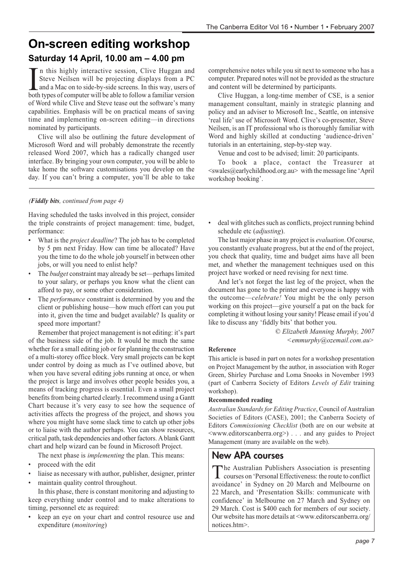### **On-screen editing workshop Saturday 14 April, 10.00 am – 4.00 pm**

In this highly interactive session, Clive Huggan and Steve Neilsen will be projecting displays from a PC and a Mac on to side-by-side screens. In this way, users of both types of computer will be able to follow a familiar n this highly interactive session, Clive Huggan and Steve Neilsen will be projecting displays from a PC and a Mac on to side-by-side screens. In this way, users of of Word while Clive and Steve tease out the software's many capabilities. Emphasis will be on practical means of saving time and implementing on-screen editing—in directions nominated by participants.

Clive will also be outlining the future development of Microsoft Word and will probably demonstrate the recently released Word 2007, which has a radically changed user interface. By bringing your own computer, you will be able to take home the software customisations you develop on the day. If you can't bring a computer, you'll be able to take

#### *(Fiddly bits, continued from page 4)*

Having scheduled the tasks involved in this project, consider the triple constraints of project management: time, budget, performance:

- What is the *project deadline*? The job has to be completed by 5 pm next Friday. How can time be allocated? Have you the time to do the whole job yourself in between other jobs, or will you need to enlist help?
- The *budget* constraint may already be set—perhaps limited to your salary, or perhaps you know what the client can afford to pay, or some other consideration.
- The *performance* constraint is determined by you and the client or publishing house—how much effort can you put into it, given the time and budget available? Is quality or speed more important?

Remember that project management is not editing: it's part of the business side of the job. It would be much the same whether for a small editing job or for planning the construction of a multi-storey office block. Very small projects can be kept under control by doing as much as I've outlined above, but when you have several editing jobs running at once, or when the project is large and involves other people besides you, a means of tracking progress is essential. Even a small project benefits from being charted clearly. I recommend using a Gantt Chart because it's very easy to see how the sequence of activities affects the progress of the project, and shows you where you might have some slack time to catch up other jobs or to liaise with the author perhaps. You can show resources, critical path, task dependencies and other factors. A blank Gantt chart and help wizard can be found in Microsoft Project.

The next phase is *implementing* the plan. This means:

- proceed with the edit
- liaise as necessary with author, publisher, designer, printer
- maintain quality control throughout.

In this phase, there is constant monitoring and adjusting to keep everything under control and to make alterations to timing, personnel etc as required:

keep an eye on your chart and control resource use and expenditure (*monitoring*)

comprehensive notes while you sit next to someone who has a computer. Prepared notes will not be provided as the structure and content will be determined by participants.

Clive Huggan, a long-time member of CSE, is a senior management consultant, mainly in strategic planning and policy and an adviser to Microsoft Inc., Seattle, on intensive 'real life' use of Microsoft Word. Clive's co-presenter, Steve Neilsen, is an IT professional who is thoroughly familiar with Word and highly skilled at conducting 'audience-driven' tutorials in an entertaining, step-by-step way.

Venue and cost to be advised; limit: 20 participants.

To book a place, contact the Treasurer at  $\le$ swales@earlychildhood.org.au  $\ge$  with the message line 'April workshop booking'.

deal with glitches such as conflicts, project running behind schedule etc (*adjusting*).

The last major phase in any project is *evaluation*. Of course, you constantly evaluate progress, but at the end of the project, you check that quality, time and budget aims have all been met, and whether the management techniques used on this project have worked or need revising for next time.

And let's not forget the last leg of the project, when the document has gone to the printer and everyone is happy with the outcome—*celebrate!* You might be the only person working on this project—give yourself a pat on the back for completing it without losing your sanity! Please email if you'd like to discuss any 'fiddly bits' that bother you.

> *© Elizabeth Manning Murphy, 2007 <emmurphy@ozemail.com.au>*

#### **Reference**

This article is based in part on notes for a workshop presentation on Project Management by the author, in association with Roger Green, Shirley Purchase and Loma Snooks in November 1993 (part of Canberra Society of Editors *Levels of Edit* training workshop).

#### **Recommended reading**

*Australian Standards for Editing Practice*, Council of Australian Societies of Editors (CASE), 2001; the Canberra Society of Editors *Commissioning Checklist* (both are on our website at <www.editorscanberra.org>) . . . and any guides to Project Management (many are available on the web).

### **New APA courses**

The Australian Publishers Association is presenting courses on 'Personal Effectiveness: the route to conflict avoidance' in Sydney on 20 March and Melbourne on 22 March, and 'Presentation Skills: communicate with confidence' in Melbourne on 27 March and Sydney on 29 March. Cost is \$400 each for members of our society. Our website has more details at <www.editorscanberra.org/ notices.htm>.